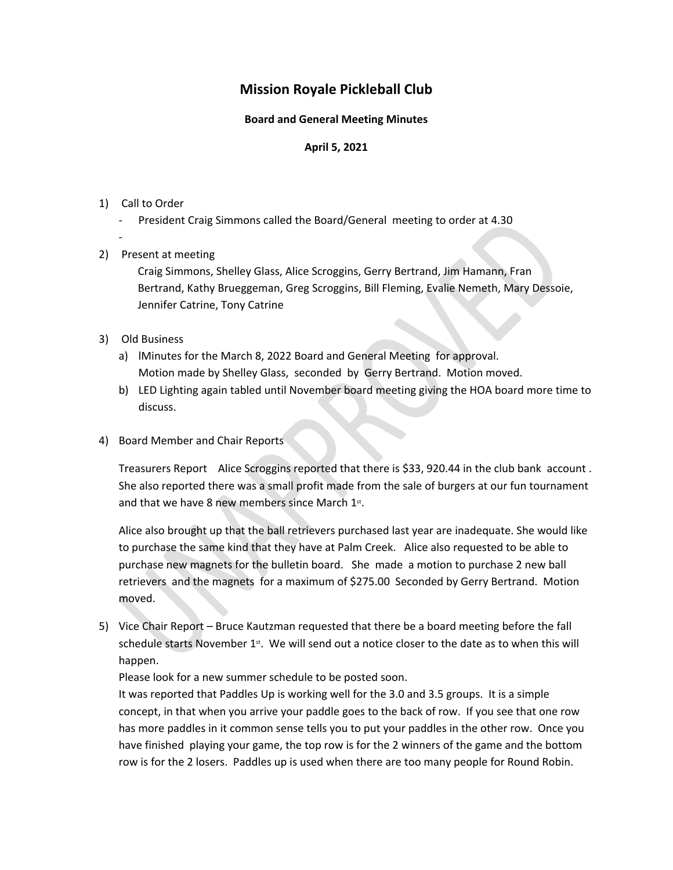# **Mission Royale Pickleball Club**

#### **Board and General Meeting Minutes**

### **April 5, 2021**

- 1) Call to Order<br>- President Craig Simmons called the Board/General meeting to order at 4.30
	- -
- 2) Present at meeting

 Craig Simmons, Shelley Glass, Alice Scroggins, Gerry Bertrand, Jim Hamann, Fran Bertrand, Kathy Brueggeman, Greg Scroggins, Bill Fleming, Evalie Nemeth, Mary Dessoie, Jennifer Catrine, Tony Catrine

## 3) Old Business

- a) lMinutes for the March 8, 2022 Board and General Meeting for approval. Motion made by Shelley Glass, seconded by Gerry Bertrand. Motion moved.
- b) LED Lighting again tabled until November board meeting giving the HOA board more time to discuss.
- 4) Board Member and Chair Reports

Treasurers Report Alice Scroggins reported that there is \$33, 920.44 in the club bank account . She also reported there was a small profit made from the sale of burgers at our fun tournament and that we have 8 new members since March  $1<sup>st</sup>$ .

-<br>
President Craig Simmons called the Board/General meeting to order at 4.30<br>
Present at meeting<br>
Craig Simmons, Shelley Glass, Alice Scroggins, Gerry Bertrand, Jim Hamann, Fran<br>
Bertrand, Kathy Brueggeman, Greg Scroggins, Alice also brought up that the ball retrievers purchased last year are inadequate. She would like to purchase the same kind that they have at Palm Creek. Alice also requested to be able to purchase new magnets for the bulletin board. She made a motion to purchase 2 new ball retrievers and the magnets for a maximum of \$275.00 Seconded by Gerry Bertrand. Motion moved.

5) Vice Chair Report – Bruce Kautzman requested that there be a board meeting before the fall schedule starts November  $1<sup>st</sup>$ . We will send out a notice closer to the date as to when this will happen.

Please look for a new summer schedule to be posted soon.

It was reported that Paddles Up is working well for the 3.0 and 3.5 groups. It is a simple concept, in that when you arrive your paddle goes to the back of row. If you see that one row has more paddles in it common sense tells you to put your paddles in the other row. Once you have finished playing your game, the top row is for the 2 winners of the game and the bottom row is for the 2 losers. Paddles up is used when there are too many people for Round Robin.